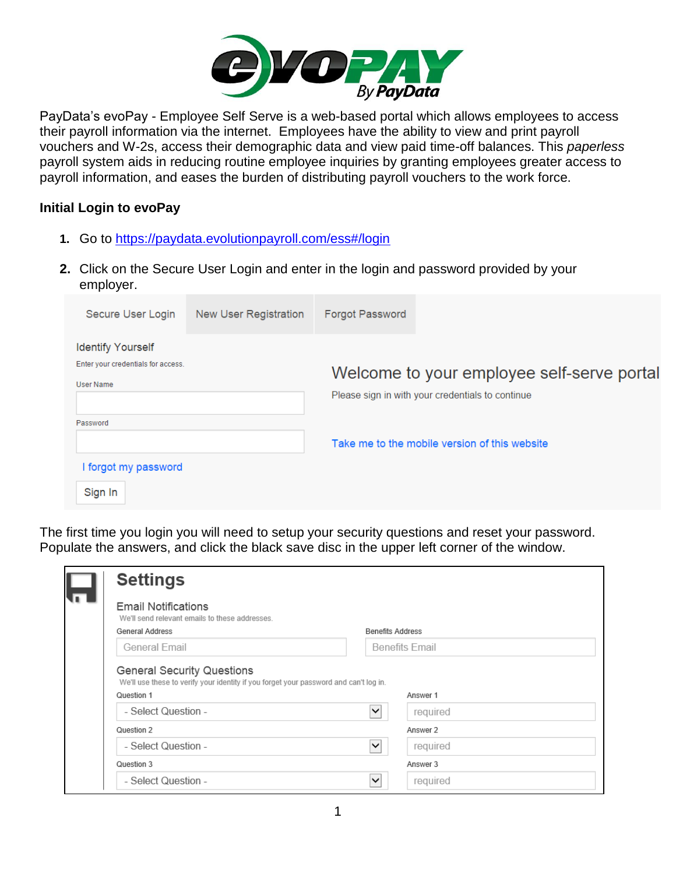

PayData's evoPay - Employee Self Serve is a web-based portal which allows employees to access their payroll information via the internet. Employees have the ability to view and print payroll vouchers and W-2s, access their demographic data and view paid time-off balances. This *paperless* payroll system aids in reducing routine employee inquiries by granting employees greater access to payroll information, and eases the burden of distributing payroll vouchers to the work force.

## **Initial Login to evoPay**

- **1.** Go to<https://paydata.evolutionpayroll.com/ess#/login>
- **2.** Click on the Secure User Login and enter in the login and password provided by your employer.

| Secure User Login                  | New User Registration | <b>Forgot Password</b> |                                                  |
|------------------------------------|-----------------------|------------------------|--------------------------------------------------|
| <b>Identify Yourself</b>           |                       |                        |                                                  |
| Enter your credentials for access. |                       |                        | Welcome to your employee self-serve portal       |
| <b>User Name</b>                   |                       |                        |                                                  |
|                                    |                       |                        | Please sign in with your credentials to continue |
| Password                           |                       |                        |                                                  |
|                                    |                       |                        | Take me to the mobile version of this website    |
| I forgot my password               |                       |                        |                                                  |
| Sign In                            |                       |                        |                                                  |

The first time you login you will need to setup your security questions and reset your password. Populate the answers, and click the black save disc in the upper left corner of the window.

| <b>Settings</b>                                                                                                            |                           |
|----------------------------------------------------------------------------------------------------------------------------|---------------------------|
| <b>Email Notifications</b><br>We'll send relevant emails to these addresses.                                               |                           |
| General Address                                                                                                            | <b>Benefits Address</b>   |
| General Email                                                                                                              | <b>Benefits Email</b>     |
| <b>General Security Questions</b><br>We'll use these to verify your identity if you forget your password and can't log in. |                           |
| Question 1                                                                                                                 | Answer 1                  |
| - Select Question -                                                                                                        | ◡<br>required             |
| Question 2<br>- Select Question -                                                                                          | Answer 2<br>◡<br>required |
| Question 3                                                                                                                 | Answer 3                  |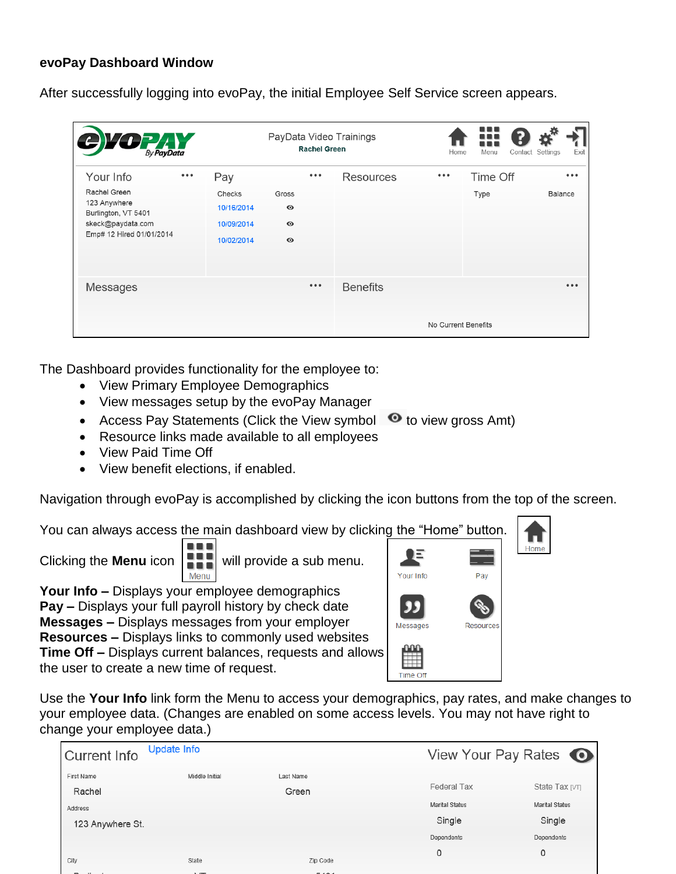## **evoPay Dashboard Window**

After successfully logging into evoPay, the initial Employee Self Service screen appears.

| $\sum_{\beta y} \sum_{\beta y \beta a y \beta a a}$                                                  |                                                  |                                              | <b>Rachel Green</b>     | PayData Video Trainings | Home                    | 88 O<br>Menu | Exit<br>Contact Settings |
|------------------------------------------------------------------------------------------------------|--------------------------------------------------|----------------------------------------------|-------------------------|-------------------------|-------------------------|--------------|--------------------------|
| Your Info                                                                                            | Pay<br>0.0.0                                     |                                              | $\bullet\bullet\bullet$ | Resources               | $\bullet\bullet\bullet$ | Time Off     | $\bullet\bullet\bullet$  |
| Rachel Green<br>123 Anywhere<br>Burlington, VT 5401<br>skeck@paydata.com<br>Emp# 12 Hired 01/01/2014 | Checks<br>10/16/2014<br>10/09/2014<br>10/02/2014 | Gross<br>$\bullet$<br>$\bullet$<br>$\bullet$ |                         |                         |                         | Type         | Balance                  |
| Messages                                                                                             |                                                  |                                              | $\bullet\bullet\bullet$ | <b>Benefits</b>         | No Current Benefits     |              |                          |

The Dashboard provides functionality for the employee to:

- View Primary Employee Demographics
- View messages setup by the evoPay Manager
- Access Pay Statements (Click the View symbol  $\bullet$  to view gross Amt)
- Resource links made available to all employees
- View Paid Time Off
- View benefit elections, if enabled.

Navigation through evoPay is accomplished by clicking the icon buttons from the top of the screen.

You can always access the main dashboard view by clicking the "Home" button.



**Your Info –** Displays your employee demographics **Pay –** Displays your full payroll history by check date **Messages –** Displays messages from your employer **Resources –** Displays links to commonly used websites **Time Off –** Displays current balances, requests and allows the user to create a new time of request.



Home

Use the **Your Info** link form the Menu to access your demographics, pay rates, and make changes to your employee data. (Changes are enabled on some access levels. You may not have right to change your employee data.)

| <b>Current Info</b> | Update Info    |           | View Your Pay Rates   |                       |
|---------------------|----------------|-----------|-----------------------|-----------------------|
| <b>First Name</b>   | Middle Initial | Last Name |                       |                       |
| Rachel              |                | Green     | Federal Tax           | State Tax [VT]        |
| Address             |                |           | <b>Marital Status</b> | <b>Marital Status</b> |
| 123 Anywhere St.    |                |           | Single                | Single                |
|                     |                |           | Dependents            | Dependents            |
|                     |                |           | 0                     | 0                     |
| City                | State          | Zip Code  |                       |                       |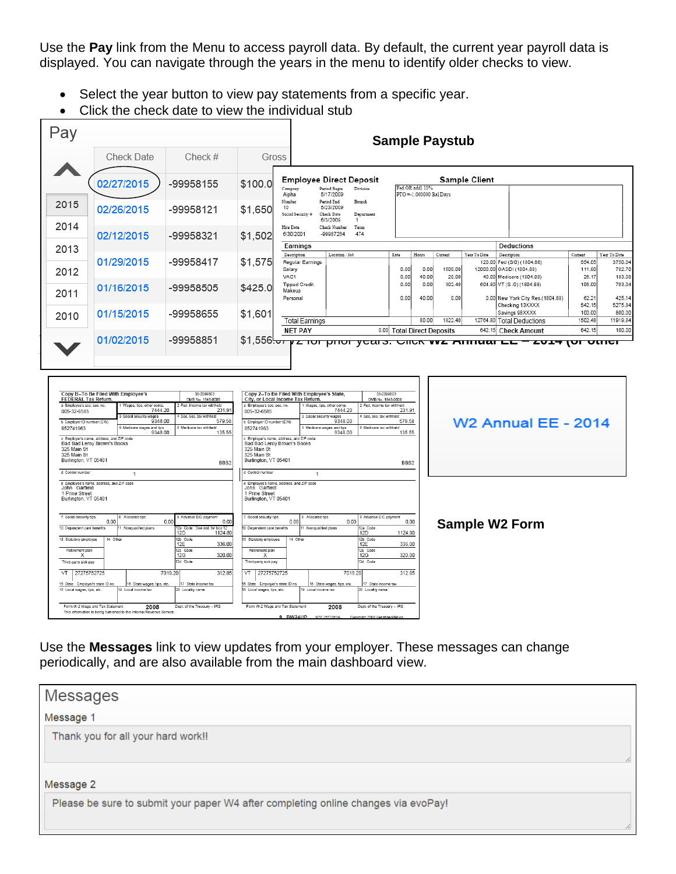Use the **Pay** link from the Menu to access payroll data. By default, the current year payroll data is displayed. You can navigate through the years in the menu to identify older checks to view.

- Select the year button to view pay statements from a specific year.
- Click the check date to view the individual stub

|                                                                                                                                                                                                                                                                         |                                                                                                                                                                                                                |                                                                                                                                                                                                                              |                                                                                                                                                                                                                                                                                                                     |                                                                                                                                                                                                                                                                                                                                         | <b>Sample Paystub</b>                                                                                                    |
|-------------------------------------------------------------------------------------------------------------------------------------------------------------------------------------------------------------------------------------------------------------------------|----------------------------------------------------------------------------------------------------------------------------------------------------------------------------------------------------------------|------------------------------------------------------------------------------------------------------------------------------------------------------------------------------------------------------------------------------|---------------------------------------------------------------------------------------------------------------------------------------------------------------------------------------------------------------------------------------------------------------------------------------------------------------------|-----------------------------------------------------------------------------------------------------------------------------------------------------------------------------------------------------------------------------------------------------------------------------------------------------------------------------------------|--------------------------------------------------------------------------------------------------------------------------|
|                                                                                                                                                                                                                                                                         | <b>Check Date</b>                                                                                                                                                                                              | Check #                                                                                                                                                                                                                      | Gross                                                                                                                                                                                                                                                                                                               |                                                                                                                                                                                                                                                                                                                                         |                                                                                                                          |
|                                                                                                                                                                                                                                                                         | 02/27/2015                                                                                                                                                                                                     | -99958155                                                                                                                                                                                                                    | \$100.0                                                                                                                                                                                                                                                                                                             | <b>Employee Direct Deposit</b><br>Fed OR addl 10%<br>Period Begin<br>Division<br>Company<br>5/17/2009<br>Alpha                                                                                                                                                                                                                          | <b>Sample Client</b><br>PTO =- 1.000000 Bal Davs                                                                         |
| 2015                                                                                                                                                                                                                                                                    | 02/26/2015                                                                                                                                                                                                     | -99958121                                                                                                                                                                                                                    | Number<br>10<br>\$1,650                                                                                                                                                                                                                                                                                             | Period End<br>Branch<br>5/23/2009<br>Social Socurity #<br>Chock Date<br>Department<br>6/3/2009                                                                                                                                                                                                                                          |                                                                                                                          |
| 2014                                                                                                                                                                                                                                                                    | 02/12/2015                                                                                                                                                                                                     | -99958321                                                                                                                                                                                                                    | \$1.502                                                                                                                                                                                                                                                                                                             | Hire Date<br>Check Number<br>Team<br>6/30/2001<br>-99987264<br>474                                                                                                                                                                                                                                                                      |                                                                                                                          |
| 2013                                                                                                                                                                                                                                                                    |                                                                                                                                                                                                                |                                                                                                                                                                                                                              |                                                                                                                                                                                                                                                                                                                     | Earnings<br>Description<br>$\mathtt{Location}$ / $\mathtt{Job}$                                                                                                                                                                                                                                                                         | Deductions<br>Hours<br>Description<br>Year To Date<br>Current                                                            |
| 2012                                                                                                                                                                                                                                                                    | 01/29/2015                                                                                                                                                                                                     | -99958417                                                                                                                                                                                                                    | \$1,575                                                                                                                                                                                                                                                                                                             | Rate<br>Regular Earnings<br>Salary<br>0.00<br>VAC1                                                                                                                                                                                                                                                                                      | Current<br>Year To Date<br>120.00 Fed (S/0) (1804.88)<br>554.05<br>12000.00 OASDI (1804.88)<br>0.00<br>1500.00<br>111.90 |
| 2011                                                                                                                                                                                                                                                                    | 01/16/2015                                                                                                                                                                                                     | -99958505                                                                                                                                                                                                                    | \$425.0                                                                                                                                                                                                                                                                                                             | 0.00<br><b>Tipped Credit</b><br>0.00<br>Makeup<br>Personal                                                                                                                                                                                                                                                                              | 40.00<br>20.00<br>40.00 Medicare (1804.88)<br>26.17<br>604.80 VT (S /0) (1804.88)<br>0.00<br>302.40<br>106.00            |
| 2010                                                                                                                                                                                                                                                                    | 01/15/2015                                                                                                                                                                                                     | -99958655                                                                                                                                                                                                                    | \$1,601                                                                                                                                                                                                                                                                                                             | 0.00                                                                                                                                                                                                                                                                                                                                    | 0.00 New York City Res.(1804.88)<br>62.21<br>40.00<br>0.00<br>542.15<br>Checking 13XXXX<br>Savings 98XXXX<br>100.00      |
|                                                                                                                                                                                                                                                                         |                                                                                                                                                                                                                |                                                                                                                                                                                                                              |                                                                                                                                                                                                                                                                                                                     | <b>Total Earnings</b><br><b>NET PAY</b>                                                                                                                                                                                                                                                                                                 | 80.00<br>1822.40<br>1502.48<br>12764.80 Total Deductions<br>0.00 Total Direct Deposits<br>642.15 Check Amount<br>642.15  |
| <b>FEDERAL Tax Return</b><br>a Employee's soc. sec. no.<br>005-32-6585<br>b Employer ID number (EIN)<br>852741963<br>325 Main St<br>325 Main St<br>Burlington, VT 05401                                                                                                 | Copy B-To Be Filed With Employee's<br>Wages, tips, other con<br>7444.20<br>wages<br>9348.00<br>6 Medicare wages and tips<br>9348.00<br>c Employer's name, address, and ZIP code<br>Bad Bad Leroy Brown's Books | 38-2099803<br>OMB No. 1545-000<br>Fed. income tax withheld<br>231.91<br>Soc. sec. tax<br>579.58<br>6 Medicare tax withheld<br>135.55<br>BBS2                                                                                 | City, or Local Income Tax Return.<br>a Employee's soc. sec. no<br>005-32-6585<br>b Employer ID number (EIN)<br>852741963<br>c Employer's name, address, and ZIP code<br>Bad Bad Leroy Brown's Books<br>325 Main St<br>325 Main St<br>Burlington, VT 05401                                                           | Copy 2--To Be Filed With Employee's State,<br>38-2099803<br>OMB No. 1545-0008<br>1 Wages, tips, other comp<br>2 Fed. income tax withheld<br>7444.20<br>231.91<br>3 Social security wages<br>4 Soc. sec. tax withheld<br>9348.00<br>579.58<br>5 Medicare wages and tips<br>6 Medicare tax withheld<br>135.55<br>9348.00<br>BBS2          | <b>W2 Annual EE - 2014</b>                                                                                               |
| d Control number                                                                                                                                                                                                                                                        | $\overline{1}$                                                                                                                                                                                                 |                                                                                                                                                                                                                              | d Control number                                                                                                                                                                                                                                                                                                    | $\mathbf{1}$                                                                                                                                                                                                                                                                                                                            |                                                                                                                          |
| John Garfield<br>1 Prine Street<br>Burlington, VT 05401<br>7 Social security tips<br>10 Dependent care benefits<br>13 Statutory employee<br>Retirement plan<br>X<br>Third-party sick pay<br>$\sqrt{T}$<br>15 State Employer's state ID no<br>18 Local wages, tips, etc. | e Employee's name, address, and ZIP code<br>Allocated tips<br>0.00<br>Nongualified plans<br>14 Other<br>27275752725<br>16 State wages, tips, etc<br>19 Local income tax                                        | Advance EIC payment<br>0.00<br>0.00<br>12a Code See inst. for box 12<br>1124.80<br>12D<br>12b Code<br>12E<br>336.00<br>12c Code<br>320.00<br>12G<br>12d Code<br>312.85<br>7019.20<br>17 State income tax<br>20 Locality name | Employee's name, address, and ZIP code<br>John Garfield<br>1 Prine Street<br>Burlington, VT 05401<br>7 Social security tips<br>10 Dependent care benefits<br>3 Statutory employee<br>Retirement plan<br>X<br>Third-party sick pay<br>VT<br>27275752725<br>State Employer's state ID no<br>8 Local wages, tips, etc. | 9 Advance EIC payment<br>8 Allocated tips<br>0.00<br>0.00<br>0.00<br>Monqualified plans<br>12a Code<br>12 <sub>D</sub><br>1124.80<br>14 Other<br>12b Code<br>12E<br>336.00<br>12c Code<br>320.00<br>12G<br>12d Code<br>312.85<br>7019.20<br>16 State wages, tips, etc<br>17 State income tax<br>19 Local income tax<br>20 Locality name | <b>Sample W2 Form</b>                                                                                                    |

Use the **Messages** link to view updates from your employer. These messages can change periodically, and are also available from the main dashboard view.

| Messages                                                                           |  |
|------------------------------------------------------------------------------------|--|
| Message 1                                                                          |  |
| Thank you for all your hard work!!                                                 |  |
| Message 2                                                                          |  |
| Please be sure to submit your paper W4 after completing online changes via evoPay! |  |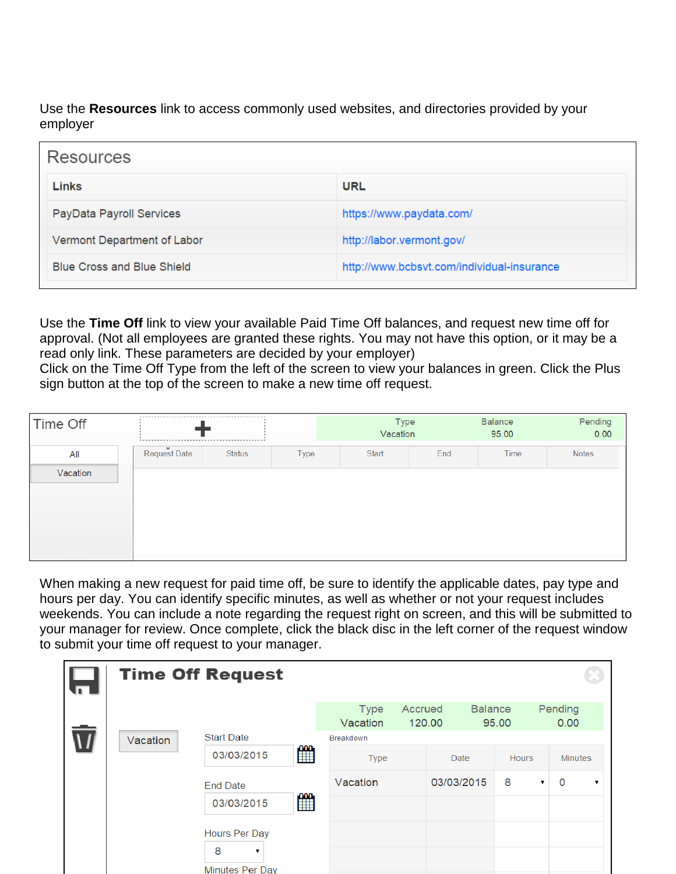Use the **Resources** link to access commonly used websites, and directories provided by your employer

| Resources                         |                                            |
|-----------------------------------|--------------------------------------------|
| <b>Links</b>                      | <b>URL</b>                                 |
| PayData Payroll Services          | https://www.paydata.com/                   |
| Vermont Department of Labor       | http://labor.vermont.gov/                  |
| <b>Blue Cross and Blue Shield</b> | http://www.bcbsvt.com/individual-insurance |

Use the **Time Off** link to view your available Paid Time Off balances, and request new time off for approval. (Not all employees are granted these rights. You may not have this option, or it may be a read only link. These parameters are decided by your employer)

Click on the Time Off Type from the left of the screen to view your balances in green. Click the Plus sign button at the top of the screen to make a new time off request.

| Time Off |              |               |             | Type<br>Vacation |     | Balance<br>95.00 | Pending<br>0.00 |
|----------|--------------|---------------|-------------|------------------|-----|------------------|-----------------|
| All      | Request Date | <b>Status</b> | <b>Type</b> | <b>Start</b>     | End | Time             | <b>Notes</b>    |
| Vacation |              |               |             |                  |     |                  |                 |

When making a new request for paid time off, be sure to identify the applicable dates, pay type and hours per day. You can identify specific minutes, as well as whether or not your request includes weekends. You can include a note regarding the request right on screen, and this will be submitted to your manager for review. Once complete, click the black disc in the left corner of the request window to submit your time off request to your manager.

|          | <b>Time Off Request</b> |             |                         |         |            |                         |   |                 |
|----------|-------------------------|-------------|-------------------------|---------|------------|-------------------------|---|-----------------|
|          |                         |             | <b>Type</b><br>Vacation | Accrued | 120.00     | <b>Balance</b><br>95.00 |   | Pending<br>0.00 |
| Vacation | <b>Start Date</b>       |             | <b>Breakdown</b>        |         |            |                         |   |                 |
|          | 03/03/2015              | <b>fill</b> | <b>Type</b>             |         | Date       | <b>Hours</b>            |   | <b>Minutes</b>  |
|          | <b>End Date</b>         |             | Vacation                |         | 03/03/2015 | 8                       | 7 | O               |
|          | 03/03/2015              | m           |                         |         |            |                         |   |                 |
|          | Hours Per Day<br>8<br>▼ |             |                         |         |            |                         |   |                 |
|          | Minutes Per Day         |             |                         |         |            |                         |   |                 |